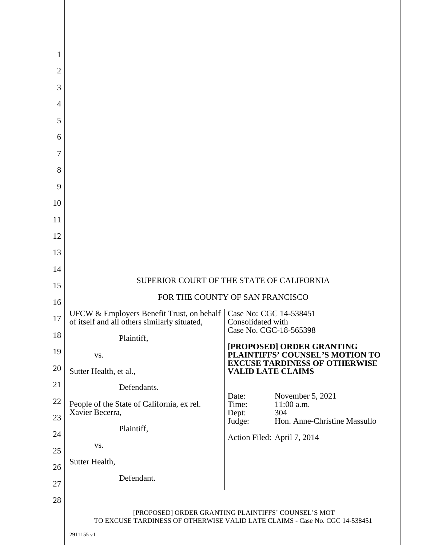| 1              |                                                                                                                                    |                                             |                                                                         |  |
|----------------|------------------------------------------------------------------------------------------------------------------------------------|---------------------------------------------|-------------------------------------------------------------------------|--|
| $\overline{2}$ |                                                                                                                                    |                                             |                                                                         |  |
| 3              |                                                                                                                                    |                                             |                                                                         |  |
| $\overline{4}$ |                                                                                                                                    |                                             |                                                                         |  |
| 5              |                                                                                                                                    |                                             |                                                                         |  |
| 6              |                                                                                                                                    |                                             |                                                                         |  |
| 7              |                                                                                                                                    |                                             |                                                                         |  |
| 8              |                                                                                                                                    |                                             |                                                                         |  |
| 9              |                                                                                                                                    |                                             |                                                                         |  |
| 10             |                                                                                                                                    |                                             |                                                                         |  |
| 11             |                                                                                                                                    |                                             |                                                                         |  |
| 12             |                                                                                                                                    |                                             |                                                                         |  |
| 13             |                                                                                                                                    |                                             |                                                                         |  |
| 14             |                                                                                                                                    |                                             |                                                                         |  |
| 15             | SUPERIOR COURT OF THE STATE OF CALIFORNIA<br>FOR THE COUNTY OF SAN FRANCISCO                                                       |                                             |                                                                         |  |
| 16             | UFCW & Employers Benefit Trust, on behalf<br>Case No: CGC 14-538451                                                                |                                             |                                                                         |  |
| 17             | of itself and all others similarly situated,                                                                                       | Consolidated with<br>Case No. CGC-18-565398 |                                                                         |  |
| 18             | Plaintiff,                                                                                                                         |                                             | [PROPOSED] ORDER GRANTING                                               |  |
| 19             | VS.                                                                                                                                |                                             | PLAINTIFFS' COUNSEL'S MOTION TO<br><b>EXCUSE TARDINESS OF OTHERWISE</b> |  |
| 20             | Sutter Health, et al.,                                                                                                             | <b>VALID LATE CLAIMS</b>                    |                                                                         |  |
| 21             | Defendants.                                                                                                                        | Date:                                       | November 5, 2021                                                        |  |
| 22             | People of the State of California, ex rel.<br>Xavier Becerra,                                                                      | Time:<br>Dept:                              | 11:00 a.m.<br>304                                                       |  |
| 23             | Plaintiff,                                                                                                                         | Judge:                                      | Hon. Anne-Christine Massullo                                            |  |
| 24<br>25       | VS.                                                                                                                                | Action Filed: April 7, 2014                 |                                                                         |  |
| 26             | Sutter Health,                                                                                                                     |                                             |                                                                         |  |
| 27             | Defendant.                                                                                                                         |                                             |                                                                         |  |
| 28             |                                                                                                                                    |                                             |                                                                         |  |
|                | [PROPOSED] ORDER GRANTING PLAINTIFFS' COUNSEL'S MOT<br>TO EXCUSE TARDINESS OF OTHERWISE VALID LATE CLAIMS - Case No. CGC 14-538451 |                                             |                                                                         |  |
|                | 2911155 v1                                                                                                                         |                                             |                                                                         |  |
|                |                                                                                                                                    |                                             |                                                                         |  |